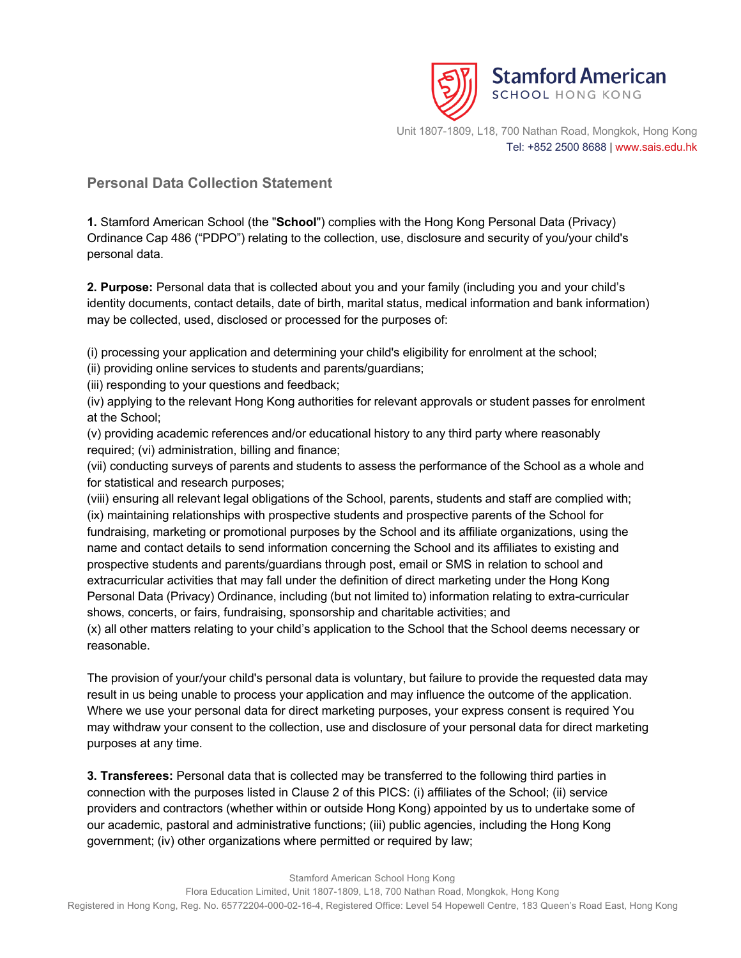

## **Personal Data Collection Statement**

**1.** Stamford American School (the "**School**") complies with the Hong Kong Personal Data (Privacy) Ordinance Cap 486 ("PDPO") relating to the collection, use, disclosure and security of you/your child's personal data.

**2. Purpose:** Personal data that is collected about you and your family (including you and your child's identity documents, contact details, date of birth, marital status, medical information and bank information) may be collected, used, disclosed or processed for the purposes of:

(i) processing your application and determining your child's eligibility for enrolment at the school;

(ii) providing online services to students and parents/guardians;

(iii) responding to your questions and feedback;

(iv) applying to the relevant Hong Kong authorities for relevant approvals or student passes for enrolment at the School;

(v) providing academic references and/or educational history to any third party where reasonably required; (vi) administration, billing and finance;

(vii) conducting surveys of parents and students to assess the performance of the School as a whole and for statistical and research purposes;

(viii) ensuring all relevant legal obligations of the School, parents, students and staff are complied with; (ix) maintaining relationships with prospective students and prospective parents of the School for fundraising, marketing or promotional purposes by the School and its affiliate organizations, using the name and contact details to send information concerning the School and its affiliates to existing and prospective students and parents/guardians through post, email or SMS in relation to school and extracurricular activities that may fall under the definition of direct marketing under the Hong Kong Personal Data (Privacy) Ordinance, including (but not limited to) information relating to extra-curricular shows, concerts, or fairs, fundraising, sponsorship and charitable activities; and

(x) all other matters relating to your child's application to the School that the School deems necessary or reasonable.

The provision of your/your child's personal data is voluntary, but failure to provide the requested data may result in us being unable to process your application and may influence the outcome of the application. Where we use your personal data for direct marketing purposes, your express consent is required You may withdraw your consent to the collection, use and disclosure of your personal data for direct marketing purposes at any time.

**3. Transferees:** Personal data that is collected may be transferred to the following third parties in connection with the purposes listed in Clause 2 of this PICS: (i) affiliates of the School; (ii) service providers and contractors (whether within or outside Hong Kong) appointed by us to undertake some of our academic, pastoral and administrative functions; (iii) public agencies, including the Hong Kong government; (iv) other organizations where permitted or required by law;